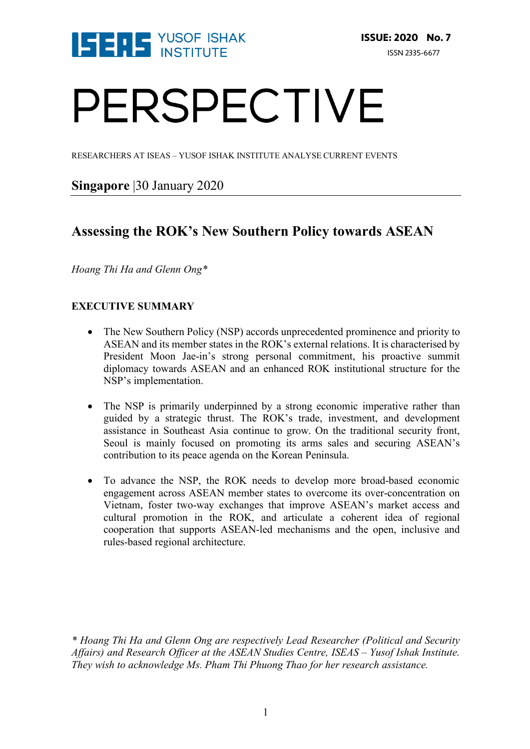

# PERSPECTIVE

RESEARCHERS AT ISEAS – YUSOF ISHAK INSTITUTE ANALYSE CURRENT EVENTS

## **Singapore** |30 January 2020

## **Assessing the ROK's New Southern Policy towards ASEAN**

*Hoang Thi Ha and Glenn Ong\**

### **EXECUTIVE SUMMARY**

- The New Southern Policy (NSP) accords unprecedented prominence and priority to ASEAN and its member states in the ROK's external relations. It is characterised by President Moon Jae-in's strong personal commitment, his proactive summit diplomacy towards ASEAN and an enhanced ROK institutional structure for the NSP's implementation.
- The NSP is primarily underpinned by a strong economic imperative rather than guided by a strategic thrust. The ROK's trade, investment, and development assistance in Southeast Asia continue to grow. On the traditional security front, Seoul is mainly focused on promoting its arms sales and securing ASEAN's contribution to its peace agenda on the Korean Peninsula.
- To advance the NSP, the ROK needs to develop more broad-based economic engagement across ASEAN member states to overcome its over-concentration on Vietnam, foster two-way exchanges that improve ASEAN's market access and cultural promotion in the ROK, and articulate a coherent idea of regional cooperation that supports ASEAN-led mechanisms and the open, inclusive and rules-based regional architecture.

*\* Hoang Thi Ha and Glenn Ong are respectively Lead Researcher (Political and Security Affairs) and Research Officer at the ASEAN Studies Centre, ISEAS – Yusof Ishak Institute. They wish to acknowledge Ms. Pham Thi Phuong Thao for her research assistance.*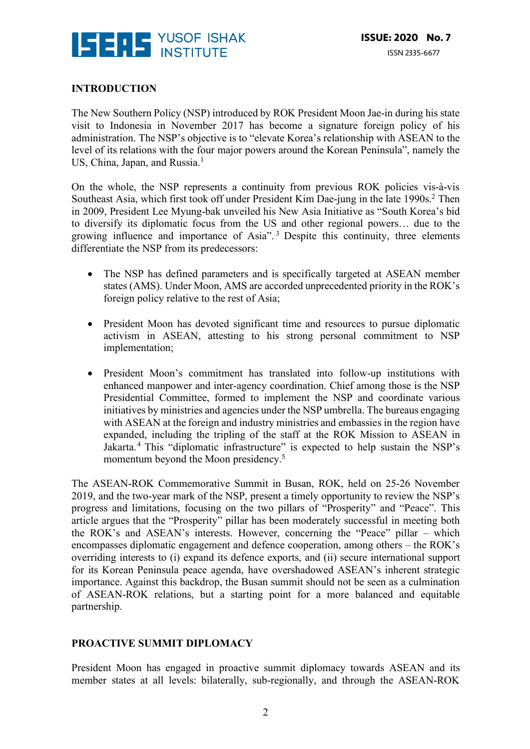

#### **INTRODUCTION**

The New Southern Policy (NSP) introduced by ROK President Moon Jae-in during his state visit to Indonesia in November 2017 has become a signature foreign policy of his administration. The NSP's objective is to "elevate Korea's relationship with ASEAN to the level of its relations with the four major powers around the Korean Peninsula", namely the US, China, Japan, and Russia.<sup>1</sup>

On the whole, the NSP represents a continuity from previous ROK policies vis-à-vis Southeast Asia, which first took off under President Kim Dae-jung in the late 1990s.<sup>2</sup> Then in 2009, President Lee Myung-bak unveiled his New Asia Initiative as "South Korea's bid to diversify its diplomatic focus from the US and other regional powers… due to the growing influence and importance of Asia". <sup>3</sup> Despite this continuity, three elements differentiate the NSP from its predecessors:

- The NSP has defined parameters and is specifically targeted at ASEAN member states (AMS). Under Moon, AMS are accorded unprecedented priority in the ROK's foreign policy relative to the rest of Asia;
- President Moon has devoted significant time and resources to pursue diplomatic activism in ASEAN, attesting to his strong personal commitment to NSP implementation;
- President Moon's commitment has translated into follow-up institutions with enhanced manpower and inter-agency coordination. Chief among those is the NSP Presidential Committee, formed to implement the NSP and coordinate various initiatives by ministries and agencies under the NSP umbrella. The bureaus engaging with ASEAN at the foreign and industry ministries and embassies in the region have expanded, including the tripling of the staff at the ROK Mission to ASEAN in Jakarta.<sup>4</sup> This "diplomatic infrastructure" is expected to help sustain the NSP's momentum beyond the Moon presidency.<sup>5</sup>

The ASEAN-ROK Commemorative Summit in Busan, ROK, held on 25-26 November 2019, and the two-year mark of the NSP, present a timely opportunity to review the NSP's progress and limitations, focusing on the two pillars of "Prosperity" and "Peace". This article argues that the "Prosperity" pillar has been moderately successful in meeting both the ROK's and ASEAN's interests. However, concerning the "Peace" pillar – which encompasses diplomatic engagement and defence cooperation, among others – the ROK's overriding interests to (i) expand its defence exports, and (ii) secure international support for its Korean Peninsula peace agenda, have overshadowed ASEAN's inherent strategic importance. Against this backdrop, the Busan summit should not be seen as a culmination of ASEAN-ROK relations, but a starting point for a more balanced and equitable partnership.

#### **PROACTIVE SUMMIT DIPLOMACY**

President Moon has engaged in proactive summit diplomacy towards ASEAN and its member states at all levels: bilaterally, sub-regionally, and through the ASEAN-ROK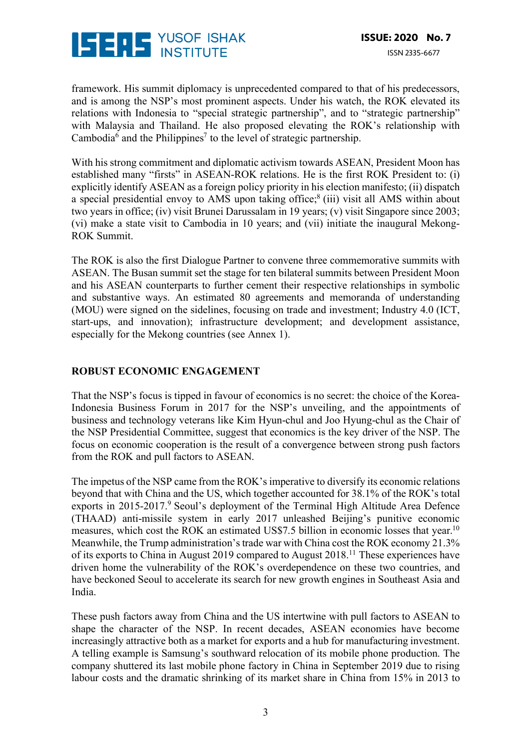

framework. His summit diplomacy is unprecedented compared to that of his predecessors, and is among the NSP's most prominent aspects. Under his watch, the ROK elevated its relations with Indonesia to "special strategic partnership", and to "strategic partnership" with Malaysia and Thailand. He also proposed elevating the ROK's relationship with Cambodia<sup>6</sup> and the Philippines<sup>7</sup> to the level of strategic partnership.

With his strong commitment and diplomatic activism towards ASEAN, President Moon has established many "firsts" in ASEAN-ROK relations. He is the first ROK President to: (i) explicitly identify ASEAN as a foreign policy priority in his election manifesto; (ii) dispatch a special presidential envoy to AMS upon taking office;8 (iii) visit all AMS within about two years in office; (iv) visit Brunei Darussalam in 19 years; (v) visit Singapore since 2003; (vi) make a state visit to Cambodia in 10 years; and (vii) initiate the inaugural Mekong-ROK Summit.

The ROK is also the first Dialogue Partner to convene three commemorative summits with ASEAN. The Busan summit set the stage for ten bilateral summits between President Moon and his ASEAN counterparts to further cement their respective relationships in symbolic and substantive ways. An estimated 80 agreements and memoranda of understanding (MOU) were signed on the sidelines, focusing on trade and investment; Industry 4.0 (ICT, start-ups, and innovation); infrastructure development; and development assistance, especially for the Mekong countries (see Annex 1).

#### **ROBUST ECONOMIC ENGAGEMENT**

That the NSP's focus is tipped in favour of economics is no secret: the choice of the Korea-Indonesia Business Forum in 2017 for the NSP's unveiling, and the appointments of business and technology veterans like Kim Hyun-chul and Joo Hyung-chul as the Chair of the NSP Presidential Committee, suggest that economics is the key driver of the NSP. The focus on economic cooperation is the result of a convergence between strong push factors from the ROK and pull factors to ASEAN.

The impetus of the NSP came from the ROK's imperative to diversify its economic relations beyond that with China and the US, which together accounted for 38.1% of the ROK's total exports in 2015-2017.<sup>9</sup> Seoul's deployment of the Terminal High Altitude Area Defence (THAAD) anti-missile system in early 2017 unleashed Beijing's punitive economic measures, which cost the ROK an estimated US\$7.5 billion in economic losses that year.<sup>10</sup> Meanwhile, the Trump administration's trade war with China cost the ROK economy 21.3% of its exports to China in August 2019 compared to August 2018.11 These experiences have driven home the vulnerability of the ROK's overdependence on these two countries, and have beckoned Seoul to accelerate its search for new growth engines in Southeast Asia and India.

These push factors away from China and the US intertwine with pull factors to ASEAN to shape the character of the NSP. In recent decades, ASEAN economies have become increasingly attractive both as a market for exports and a hub for manufacturing investment. A telling example is Samsung's southward relocation of its mobile phone production. The company shuttered its last mobile phone factory in China in September 2019 due to rising labour costs and the dramatic shrinking of its market share in China from 15% in 2013 to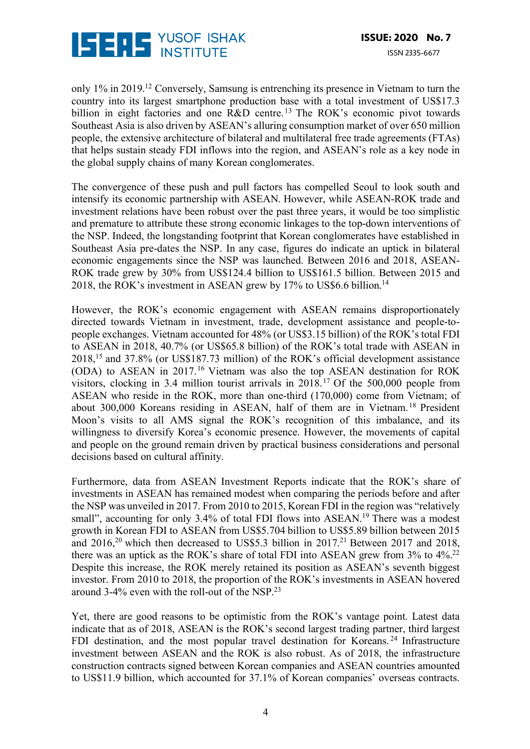

only 1% in 2019.12 Conversely, Samsung is entrenching its presence in Vietnam to turn the country into its largest smartphone production base with a total investment of US\$17.3 billion in eight factories and one R&D centre.<sup>13</sup> The ROK's economic pivot towards Southeast Asia is also driven by ASEAN's alluring consumption market of over 650 million people, the extensive architecture of bilateral and multilateral free trade agreements (FTAs) that helps sustain steady FDI inflows into the region, and ASEAN's role as a key node in the global supply chains of many Korean conglomerates.

The convergence of these push and pull factors has compelled Seoul to look south and intensify its economic partnership with ASEAN. However, while ASEAN-ROK trade and investment relations have been robust over the past three years, it would be too simplistic and premature to attribute these strong economic linkages to the top-down interventions of the NSP. Indeed, the longstanding footprint that Korean conglomerates have established in Southeast Asia pre-dates the NSP. In any case, figures do indicate an uptick in bilateral economic engagements since the NSP was launched. Between 2016 and 2018, ASEAN-ROK trade grew by 30% from US\$124.4 billion to US\$161.5 billion. Between 2015 and 2018, the ROK's investment in ASEAN grew by 17% to US\$6.6 billion.14

However, the ROK's economic engagement with ASEAN remains disproportionately directed towards Vietnam in investment, trade, development assistance and people-topeople exchanges. Vietnam accounted for 48% (or US\$3.15 billion) of the ROK's total FDI to ASEAN in 2018, 40.7% (or US\$65.8 billion) of the ROK's total trade with ASEAN in 2018, <sup>15</sup> and 37.8% (or US\$187.73 million) of the ROK's official development assistance (ODA) to ASEAN in 2017.16 Vietnam was also the top ASEAN destination for ROK visitors, clocking in 3.4 million tourist arrivals in 2018.17 Of the 500,000 people from ASEAN who reside in the ROK, more than one-third (170,000) come from Vietnam; of about 300,000 Koreans residing in ASEAN, half of them are in Vietnam. <sup>18</sup> President Moon's visits to all AMS signal the ROK's recognition of this imbalance, and its willingness to diversify Korea's economic presence. However, the movements of capital and people on the ground remain driven by practical business considerations and personal decisions based on cultural affinity.

Furthermore, data from ASEAN Investment Reports indicate that the ROK's share of investments in ASEAN has remained modest when comparing the periods before and after the NSP was unveiled in 2017. From 2010 to 2015, Korean FDI in the region was "relatively small", accounting for only 3.4% of total FDI flows into ASEAN.<sup>19</sup> There was a modest growth in Korean FDI to ASEAN from US\$5.704 billion to US\$5.89 billion between 2015 and 2016,<sup>20</sup> which then decreased to US\$5.3 billion in 2017.<sup>21</sup> Between 2017 and 2018, there was an uptick as the ROK's share of total FDI into ASEAN grew from 3% to 4%.<sup>22</sup> Despite this increase, the ROK merely retained its position as ASEAN's seventh biggest investor. From 2010 to 2018, the proportion of the ROK's investments in ASEAN hovered around 3-4% even with the roll-out of the NSP.23

Yet, there are good reasons to be optimistic from the ROK's vantage point. Latest data indicate that as of 2018, ASEAN is the ROK's second largest trading partner, third largest FDI destination, and the most popular travel destination for Koreans. <sup>24</sup> Infrastructure investment between ASEAN and the ROK is also robust. As of 2018, the infrastructure construction contracts signed between Korean companies and ASEAN countries amounted to US\$11.9 billion, which accounted for 37.1% of Korean companies' overseas contracts.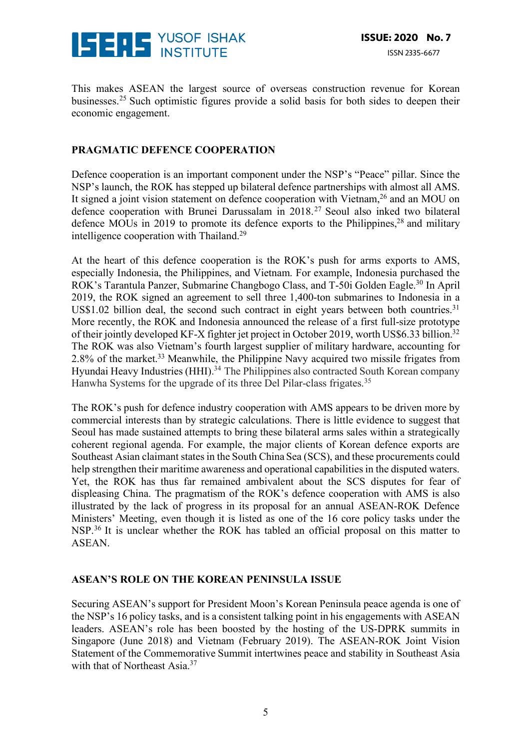

This makes ASEAN the largest source of overseas construction revenue for Korean businesses.25 Such optimistic figures provide a solid basis for both sides to deepen their economic engagement.

#### **PRAGMATIC DEFENCE COOPERATION**

Defence cooperation is an important component under the NSP's "Peace" pillar. Since the NSP's launch, the ROK has stepped up bilateral defence partnerships with almost all AMS. It signed a joint vision statement on defence cooperation with Vietnam,<sup>26</sup> and an MOU on defence cooperation with Brunei Darussalam in 2018.27 Seoul also inked two bilateral defence MOUs in 2019 to promote its defence exports to the Philippines, $28$  and military intelligence cooperation with Thailand.29

At the heart of this defence cooperation is the ROK's push for arms exports to AMS, especially Indonesia, the Philippines, and Vietnam. For example, Indonesia purchased the ROK's Tarantula Panzer, Submarine Changbogo Class, and T-50i Golden Eagle.<sup>30</sup> In April 2019, the ROK signed an agreement to sell three 1,400-ton submarines to Indonesia in a US\$1.02 billion deal, the second such contract in eight years between both countries. $31$ More recently, the ROK and Indonesia announced the release of a first full-size prototype of their jointly developed KF-X fighter jet project in October 2019, worth US\$6.33 billion.<sup>32</sup> The ROK was also Vietnam's fourth largest supplier of military hardware, accounting for 2.8% of the market.33 Meanwhile, the Philippine Navy acquired two missile frigates from Hyundai Heavy Industries (HHI).<sup>34</sup> The Philippines also contracted South Korean company Hanwha Systems for the upgrade of its three Del Pilar-class frigates.<sup>35</sup>

The ROK's push for defence industry cooperation with AMS appears to be driven more by commercial interests than by strategic calculations. There is little evidence to suggest that Seoul has made sustained attempts to bring these bilateral arms sales within a strategically coherent regional agenda. For example, the major clients of Korean defence exports are Southeast Asian claimant states in the South China Sea (SCS), and these procurements could help strengthen their maritime awareness and operational capabilities in the disputed waters. Yet, the ROK has thus far remained ambivalent about the SCS disputes for fear of displeasing China. The pragmatism of the ROK's defence cooperation with AMS is also illustrated by the lack of progress in its proposal for an annual ASEAN-ROK Defence Ministers' Meeting, even though it is listed as one of the 16 core policy tasks under the NSP.<sup>36</sup> It is unclear whether the ROK has tabled an official proposal on this matter to ASEAN.

#### **ASEAN'S ROLE ON THE KOREAN PENINSULA ISSUE**

Securing ASEAN's support for President Moon's Korean Peninsula peace agenda is one of the NSP's 16 policy tasks, and is a consistent talking point in his engagements with ASEAN leaders. ASEAN's role has been boosted by the hosting of the US-DPRK summits in Singapore (June 2018) and Vietnam (February 2019). The ASEAN-ROK Joint Vision Statement of the Commemorative Summit intertwines peace and stability in Southeast Asia with that of Northeast Asia.<sup>37</sup>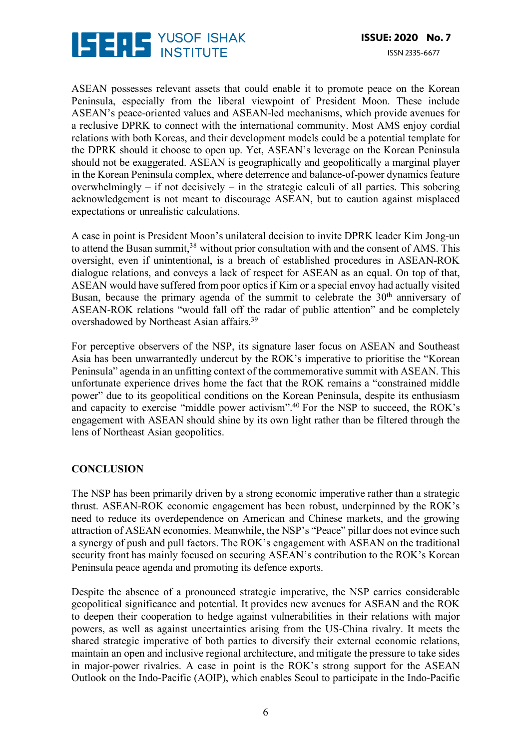

ASEAN possesses relevant assets that could enable it to promote peace on the Korean Peninsula, especially from the liberal viewpoint of President Moon. These include ASEAN's peace-oriented values and ASEAN-led mechanisms, which provide avenues for a reclusive DPRK to connect with the international community. Most AMS enjoy cordial relations with both Koreas, and their development models could be a potential template for the DPRK should it choose to open up. Yet, ASEAN's leverage on the Korean Peninsula should not be exaggerated. ASEAN is geographically and geopolitically a marginal player in the Korean Peninsula complex, where deterrence and balance-of-power dynamics feature overwhelmingly – if not decisively – in the strategic calculi of all parties. This sobering acknowledgement is not meant to discourage ASEAN, but to caution against misplaced expectations or unrealistic calculations.

A case in point is President Moon's unilateral decision to invite DPRK leader Kim Jong-un to attend the Busan summit,<sup>38</sup> without prior consultation with and the consent of AMS. This oversight, even if unintentional, is a breach of established procedures in ASEAN-ROK dialogue relations, and conveys a lack of respect for ASEAN as an equal. On top of that, ASEAN would have suffered from poor optics if Kim or a special envoy had actually visited Busan, because the primary agenda of the summit to celebrate the  $30<sup>th</sup>$  anniversary of ASEAN-ROK relations "would fall off the radar of public attention" and be completely overshadowed by Northeast Asian affairs.<sup>39</sup>

For perceptive observers of the NSP, its signature laser focus on ASEAN and Southeast Asia has been unwarrantedly undercut by the ROK's imperative to prioritise the "Korean Peninsula" agenda in an unfitting context of the commemorative summit with ASEAN. This unfortunate experience drives home the fact that the ROK remains a "constrained middle power" due to its geopolitical conditions on the Korean Peninsula, despite its enthusiasm and capacity to exercise "middle power activism".40 For the NSP to succeed, the ROK's engagement with ASEAN should shine by its own light rather than be filtered through the lens of Northeast Asian geopolitics.

#### **CONCLUSION**

The NSP has been primarily driven by a strong economic imperative rather than a strategic thrust. ASEAN-ROK economic engagement has been robust, underpinned by the ROK's need to reduce its overdependence on American and Chinese markets, and the growing attraction of ASEAN economies. Meanwhile, the NSP's "Peace" pillar does not evince such a synergy of push and pull factors. The ROK's engagement with ASEAN on the traditional security front has mainly focused on securing ASEAN's contribution to the ROK's Korean Peninsula peace agenda and promoting its defence exports.

Despite the absence of a pronounced strategic imperative, the NSP carries considerable geopolitical significance and potential. It provides new avenues for ASEAN and the ROK to deepen their cooperation to hedge against vulnerabilities in their relations with major powers, as well as against uncertainties arising from the US-China rivalry. It meets the shared strategic imperative of both parties to diversify their external economic relations, maintain an open and inclusive regional architecture, and mitigate the pressure to take sides in major-power rivalries. A case in point is the ROK's strong support for the ASEAN Outlook on the Indo-Pacific (AOIP), which enables Seoul to participate in the Indo-Pacific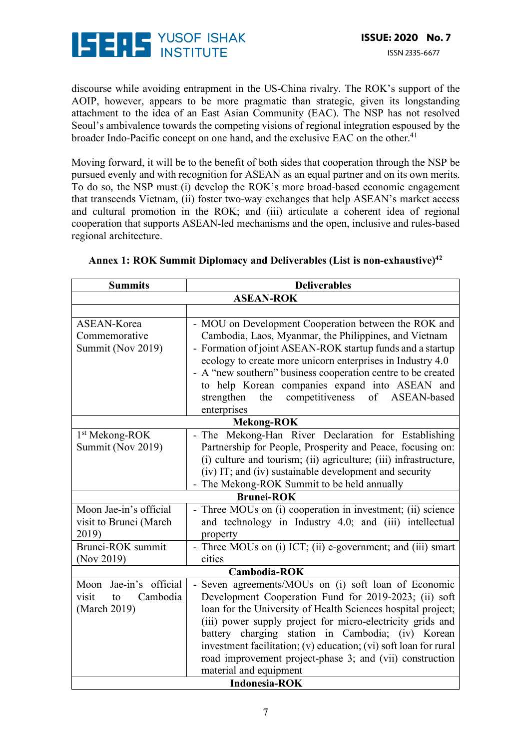

discourse while avoiding entrapment in the US-China rivalry. The ROK's support of the AOIP, however, appears to be more pragmatic than strategic, given its longstanding attachment to the idea of an East Asian Community (EAC). The NSP has not resolved Seoul's ambivalence towards the competing visions of regional integration espoused by the broader Indo-Pacific concept on one hand, and the exclusive EAC on the other.<sup>41</sup>

Moving forward, it will be to the benefit of both sides that cooperation through the NSP be pursued evenly and with recognition for ASEAN as an equal partner and on its own merits. To do so, the NSP must (i) develop the ROK's more broad-based economic engagement that transcends Vietnam, (ii) foster two-way exchanges that help ASEAN's market access and cultural promotion in the ROK; and (iii) articulate a coherent idea of regional cooperation that supports ASEAN-led mechanisms and the open, inclusive and rules-based regional architecture.

| <b>Summits</b>                              | <b>Deliverables</b>                                              |  |  |  |
|---------------------------------------------|------------------------------------------------------------------|--|--|--|
| <b>ASEAN-ROK</b>                            |                                                                  |  |  |  |
|                                             |                                                                  |  |  |  |
| <b>ASEAN-Korea</b>                          | - MOU on Development Cooperation between the ROK and             |  |  |  |
| Commemorative                               | Cambodia, Laos, Myanmar, the Philippines, and Vietnam            |  |  |  |
| Summit (Nov 2019)                           | - Formation of joint ASEAN-ROK startup funds and a startup       |  |  |  |
|                                             | ecology to create more unicorn enterprises in Industry 4.0       |  |  |  |
|                                             | - A "new southern" business cooperation centre to be created     |  |  |  |
|                                             | to help Korean companies expand into ASEAN and                   |  |  |  |
|                                             | the competitiveness of<br>strengthen<br>ASEAN-based              |  |  |  |
|                                             | enterprises                                                      |  |  |  |
| <b>Mekong-ROK</b>                           |                                                                  |  |  |  |
| 1 <sup>st</sup> Mekong-ROK                  | - The Mekong-Han River Declaration for Establishing              |  |  |  |
| Summit (Nov 2019)                           | Partnership for People, Prosperity and Peace, focusing on:       |  |  |  |
|                                             | (i) culture and tourism; (ii) agriculture; (iii) infrastructure, |  |  |  |
|                                             | (iv) IT; and (iv) sustainable development and security           |  |  |  |
| - The Mekong-ROK Summit to be held annually |                                                                  |  |  |  |
| <b>Brunei-ROK</b>                           |                                                                  |  |  |  |
| Moon Jae-in's official                      | - Three MOUs on (i) cooperation in investment; (ii) science      |  |  |  |
| visit to Brunei (March                      | and technology in Industry 4.0; and (iii) intellectual           |  |  |  |
| 2019)                                       | property                                                         |  |  |  |
| Brunei-ROK summit                           | - Three MOUs on (i) ICT; (ii) e-government; and (iii) smart      |  |  |  |
| (Nov 2019)                                  | cities                                                           |  |  |  |
| <b>Cambodia-ROK</b>                         |                                                                  |  |  |  |
| Jae-in's official<br>Moon                   | Seven agreements/MOUs on (i) soft loan of Economic               |  |  |  |
| Cambodia<br>visit<br>to                     | Development Cooperation Fund for 2019-2023; (ii) soft            |  |  |  |
| (March 2019)                                | loan for the University of Health Sciences hospital project;     |  |  |  |
|                                             | (iii) power supply project for micro-electricity grids and       |  |  |  |
|                                             | battery charging station in Cambodia; (iv) Korean                |  |  |  |
|                                             | investment facilitation; (v) education; (vi) soft loan for rural |  |  |  |
|                                             | road improvement project-phase 3; and (vii) construction         |  |  |  |
| material and equipment                      |                                                                  |  |  |  |
| <b>Indonesia-ROK</b>                        |                                                                  |  |  |  |

### Annex 1: ROK Summit Diplomacy and Deliverables (List is non-exhaustive)<sup>42</sup>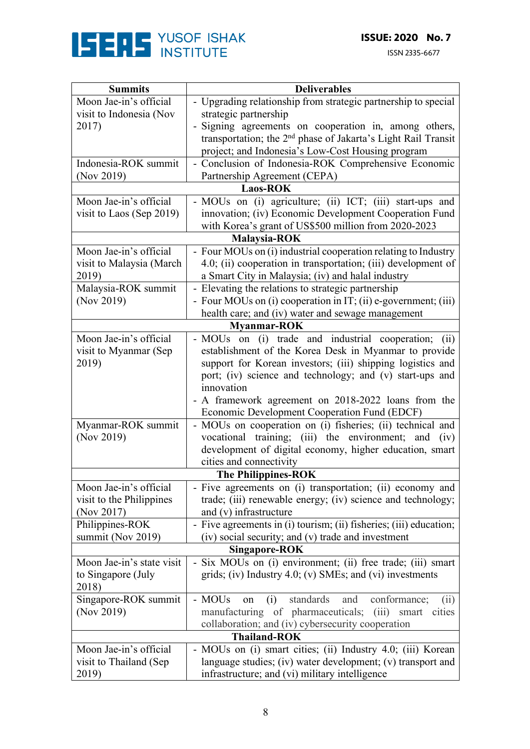

ISSN 2335-6677

| <b>Summits</b>             | <b>Deliverables</b>                                                                                                   |  |  |  |
|----------------------------|-----------------------------------------------------------------------------------------------------------------------|--|--|--|
| Moon Jae-in's official     | - Upgrading relationship from strategic partnership to special                                                        |  |  |  |
| visit to Indonesia (Nov    | strategic partnership                                                                                                 |  |  |  |
| 2017)                      | - Signing agreements on cooperation in, among others,                                                                 |  |  |  |
|                            | transportation; the 2 <sup>nd</sup> phase of Jakarta's Light Rail Transit                                             |  |  |  |
|                            | project; and Indonesia's Low-Cost Housing program                                                                     |  |  |  |
| Indonesia-ROK summit       | - Conclusion of Indonesia-ROK Comprehensive Economic                                                                  |  |  |  |
| (Nov 2019)                 | Partnership Agreement (CEPA)                                                                                          |  |  |  |
|                            | <b>Laos-ROK</b>                                                                                                       |  |  |  |
| Moon Jae-in's official     | - MOUs on (i) agriculture; (ii) ICT; (iii) start-ups and                                                              |  |  |  |
| visit to Laos (Sep 2019)   | innovation; (iv) Economic Development Cooperation Fund                                                                |  |  |  |
|                            | with Korea's grant of US\$500 million from 2020-2023                                                                  |  |  |  |
|                            | Malaysia-ROK                                                                                                          |  |  |  |
| Moon Jae-in's official     | - Four MOUs on (i) industrial cooperation relating to Industry                                                        |  |  |  |
| visit to Malaysia (March   | 4.0; (ii) cooperation in transportation; (iii) development of                                                         |  |  |  |
| 2019)                      | a Smart City in Malaysia; (iv) and halal industry                                                                     |  |  |  |
| Malaysia-ROK summit        | - Elevating the relations to strategic partnership                                                                    |  |  |  |
| (Nov 2019)                 | - Four MOUs on (i) cooperation in IT; (ii) e-government; (iii)                                                        |  |  |  |
|                            | health care; and (iv) water and sewage management                                                                     |  |  |  |
| <b>Myanmar-ROK</b>         |                                                                                                                       |  |  |  |
| Moon Jae-in's official     | - MOUs on (i) trade and industrial cooperation; (ii)                                                                  |  |  |  |
| visit to Myanmar (Sep      | establishment of the Korea Desk in Myanmar to provide                                                                 |  |  |  |
| 2019)                      | support for Korean investors; (iii) shipping logistics and                                                            |  |  |  |
|                            | port; (iv) science and technology; and (v) start-ups and                                                              |  |  |  |
|                            | innovation                                                                                                            |  |  |  |
|                            |                                                                                                                       |  |  |  |
|                            | - A framework agreement on 2018-2022 loans from the                                                                   |  |  |  |
| Myanmar-ROK summit         | Economic Development Cooperation Fund (EDCF)                                                                          |  |  |  |
| (Nov 2019)                 | - MOUs on cooperation on (i) fisheries; (ii) technical and<br>vocational training; (iii) the environment; and<br>(iv) |  |  |  |
|                            | development of digital economy, higher education, smart                                                               |  |  |  |
|                            | cities and connectivity                                                                                               |  |  |  |
|                            |                                                                                                                       |  |  |  |
| <b>The Philippines-ROK</b> |                                                                                                                       |  |  |  |
| Moon Jae-in's official     | - Five agreements on (i) transportation; (ii) economy and                                                             |  |  |  |
| visit to the Philippines   | trade; (iii) renewable energy; (iv) science and technology;                                                           |  |  |  |
| (Nov 2017)                 | and (v) infrastructure                                                                                                |  |  |  |
| Philippines-ROK            | - Five agreements in (i) tourism; (ii) fisheries; (iii) education;                                                    |  |  |  |
| summit (Nov 2019)          | (iv) social security; and (v) trade and investment                                                                    |  |  |  |
| <b>Singapore-ROK</b>       |                                                                                                                       |  |  |  |
| Moon Jae-in's state visit  | - Six MOUs on (i) environment; (ii) free trade; (iii) smart                                                           |  |  |  |
| to Singapore (July         | grids; (iv) Industry $4.0$ ; (v) SMEs; and (vi) investments                                                           |  |  |  |
| 2018)                      |                                                                                                                       |  |  |  |
| Singapore-ROK summit       | standards<br>- MOUs<br>(i)<br>and<br>conformance;<br>on<br>(i)                                                        |  |  |  |
| (Nov 2019)                 | manufacturing of pharmaceuticals; (iii) smart cities                                                                  |  |  |  |
|                            | collaboration; and (iv) cybersecurity cooperation                                                                     |  |  |  |
| <b>Thailand-ROK</b>        |                                                                                                                       |  |  |  |
| Moon Jae-in's official     | - MOUs on (i) smart cities; (ii) Industry 4.0; (iii) Korean                                                           |  |  |  |
| visit to Thailand (Sep)    | language studies; (iv) water development; (v) transport and                                                           |  |  |  |
| 2019)                      | infrastructure; and (vi) military intelligence                                                                        |  |  |  |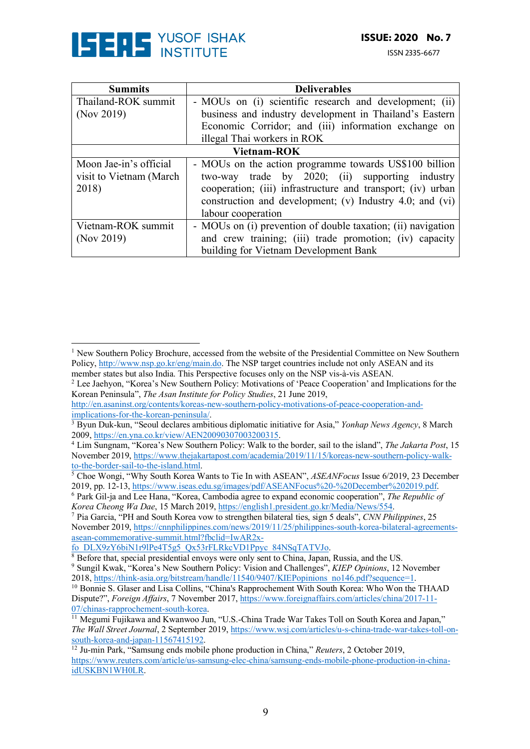

 

ISSN 2335-6677

| <b>Summits</b>           | <b>Deliverables</b>                                          |  |  |  |
|--------------------------|--------------------------------------------------------------|--|--|--|
| Thailand-ROK summit      | - MOUs on (i) scientific research and development; (ii)      |  |  |  |
| (Nov 2019)               | business and industry development in Thailand's Eastern      |  |  |  |
|                          | Economic Corridor; and (iii) information exchange on         |  |  |  |
|                          | illegal Thai workers in ROK                                  |  |  |  |
| <b>Vietnam-ROK</b>       |                                                              |  |  |  |
| Moon Jae-in's official   | - MOUs on the action programme towards US\$100 billion       |  |  |  |
| visit to Vietnam (March) | two-way trade by 2020; (ii) supporting industry              |  |  |  |
| 2018)                    | cooperation; (iii) infrastructure and transport; (iv) urban  |  |  |  |
|                          | construction and development; (v) Industry $4.0$ ; and (vi)  |  |  |  |
|                          | labour cooperation                                           |  |  |  |
| Vietnam-ROK summit       | - MOUs on (i) prevention of double taxation; (ii) navigation |  |  |  |
| (Nov 2019)               | and crew training; (iii) trade promotion; (iv) capacity      |  |  |  |
|                          | building for Vietnam Development Bank                        |  |  |  |

<sup>7</sup> Pia Garcia, "PH and South Korea vow to strengthen bilateral ties, sign 5 deals", *CNN Philippines*, 25 November 2019, https://cnnphilippines.com/news/2019/11/25/philippines-south-korea-bilateral-agreementsasean-commemorative-summit.html?fbclid=IwAR2x-

<sup>&</sup>lt;sup>1</sup> New Southern Policy Brochure, accessed from the website of the Presidential Committee on New Southern Policy, http://www.nsp.go.kr/eng/main.do. The NSP target countries include not only ASEAN and its member states but also India. This Perspective focuses only on the NSP vis-à-vis ASEAN.

<sup>&</sup>lt;sup>2</sup> Lee Jaehyon, "Korea's New Southern Policy: Motivations of 'Peace Cooperation' and Implications for the Korean Peninsula", *The Asan Institute for Policy Studies*, 21 June 2019,

http://en.asaninst.org/contents/koreas-new-southern-policy-motivations-of-peace-cooperation-and-

<sup>&</sup>lt;sup>3</sup> Byun Duk-kun, "Seoul declares ambitious diplomatic initiative for Asia," *Yonhap News Agency*, 8 March 2009, https://en.yna.co.kr/view/AEN20090307003200315.

<sup>&</sup>lt;sup>4</sup> Lim Sungnam, "Korea's New Southern Policy: Walk to the border, sail to the island", *The Jakarta Post*, 15 November 2019, https://www.thejakartapost.com/academia/2019/11/15/koreas-new-southern-policy-walkto-the-border-sail-to-the-island.html.

<sup>&</sup>lt;sup>5</sup> Choe Wongi, "Why South Korea Wants to Tie In with ASEAN", *ASEANFocus* Issue 6/2019, 23 December 2019, pp. 12-13, https://www.iseas.edu.sg/images/pdf/ASEANFocus%20-%20December%202019.pdf.

<sup>&</sup>lt;sup>6</sup> Park Gil-ja and Lee Hana, "Korea, Cambodia agree to expand economic cooperation", *The Republic of Korea Cheong Wa Dae*, 15 March 2019, https://english1.president.go.kr/Media/News/554.

fo\_DLX9zY6biN1r9lPe4T5g5\_Qx53rFLRkcVD1Ppyc\_84NSqTATVJo. 8 Before that, special presidential envoys were only sent to China, Japan, Russia, and the US. <sup>9</sup> Sungil Kwak, "Korea's New Southern Policy: Vision and Challenges", *KIEP Opinions*, 12 November 2018, https://think-asia.org/bitstream/handle/11540/9407/KIEPopinions no146.pdf?sequence=1.

<sup>&</sup>lt;sup>10</sup> Bonnie S. Glaser and Lisa Collins, "China's Rapprochement With South Korea: Who Won the THAAD Dispute?", *Foreign Affairs*, 7 November 2017, https://www.foreignaffairs.com/articles/china/2017-11- 07/chinas-rapprochement-south-korea.<br><sup>11</sup> Megumi Fujikawa and Kwanwoo Jun, "U.S.-China Trade War Takes Toll on South Korea and Japan,"

*The Wall Street Journal*, 2 September 2019, https://www.wsj.com/articles/u-s-china-trade-war-takes-toll-onsouth-korea-and-japan-11567415192. 12 Ju-min Park, "Samsung ends mobile phone production in China," *Reuters*, 2 October 2019,

https://www.reuters.com/article/us-samsung-elec-china/samsung-ends-mobile-phone-production-in-chinaidUSKBN1WH0LR.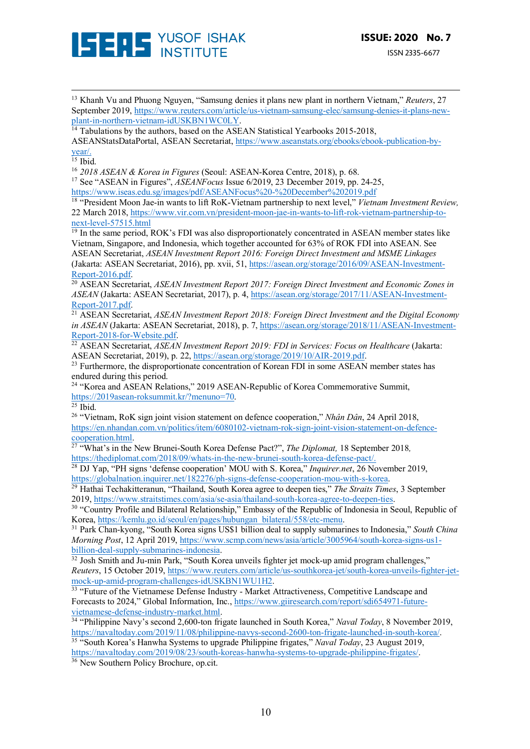

ISSN 2335-6677

<sup>13</sup> Khanh Vu and Phuong Nguyen, "Samsung denies it plans new plant in northern Vietnam," *Reuters*, 27 September 2019, https://www.reuters.com/article/us-vietnam-samsung-elec/samsung-denies-it-plans-new-<br>plant-in-northern-vietnam-idUSKBN1WC0LY.

<u> 1989 - Andrea San Andrew Maria (h. 1989).</u><br>1900 - Andrew Maria (h. 1980).

 $\frac{14}{14}$  Tabulations by the authors, based on the ASEAN Statistical Yearbooks 2015-2018, ASEANStatsDataPortal, ASEAN Secretariat, https://www.aseanstats.org/ebooks/ebook-publication-byyear/.

<sup>15</sup> Ibid.<br><sup>16</sup> 2018 ASEAN & Korea in Figures (Seoul: ASEAN-Korea Centre, 2018), p. 68.

<sup>17</sup> See "ASEAN in Figures", *ASEANFocus* Issue 6/2019, 23 December 2019, pp. 24-25, https://www.iseas.edu.sg/images/pdf/ASEANFocus%20-%20December%202019.pdf

<sup>18</sup> "President Moon Jae-in wants to lift RoK-Vietnam partnership to next level," *Vietnam Investment Review,* 22 March 2018, https://www.vir.com.vn/president-moon-jae-in-wants-to-lift-rok-vietnam-partnership-tonext-level-57515.html

 $\frac{19}{19}$  In the same period, ROK's FDI was also disproportionately concentrated in ASEAN member states like Vietnam, Singapore, and Indonesia, which together accounted for 63% of ROK FDI into ASEAN. See ASEAN Secretariat, *ASEAN Investment Report 2016: Foreign Direct Investment and MSME Linkages* (Jakarta: ASEAN Secretariat, 2016), pp. xvii, 51, https://asean.org/storage/2016/09/ASEAN-Investment-

Report-2016.pdf. 20 ASEAN Secretariat, *ASEAN Investment Report 2017: Foreign Direct Investment and Economic Zones in ASEAN* (Jakarta: ASEAN Secretariat, 2017), p. 4, https://asean.org/storage/2017/11/ASEAN-Investment-

Report-2017.pdf. 21 ASEAN Secretariat, *ASEAN Investment Report 2018: Foreign Direct Investment and the Digital Economy in ASEAN* (Jakarta: ASEAN Secretariat, 2018), p. 7, https://asean.org/storage/2018/11/ASEAN-Investment-

Report-2018-for-Website.pdf.<br><sup>22</sup> ASEAN Secretariat, *ASEAN Investment Report 2019: FDI in Services: Focus on Healthcare* (Jakarta:<br>ASEAN Secretariat, 2019), p. 22, https://asean.org/storage/2019/10/AIR-2019.pdf.

<sup>23</sup> Furthermore, the disproportionate concentration of Korean FDI in some ASEAN member states has endured during this period.

<sup>24</sup> "Korea and ASEAN Relations," 2019 ASEAN-Republic of Korea Commemorative Summit,  $\frac{https://2019asean-roksummit.kr/?menuno=70}{25}$ .

<sup>26</sup> "Vietnam, RoK sign joint vision statement on defence cooperation," *Nhân Dân*, 24 April 2018, https://en.nhandan.com.vn/politics/item/6080102-vietnam-rok-sign-joint-vision-statement-on-defence-

cooperation.html. 27 "What's in the New Brunei-South Korea Defense Pact?", *The Diplomat,* 18 September 2018*,* 

https://thediplomat.com/2018/09/whats-in-the-new-brunei-south-korea-defense-pact/.<br><sup>28</sup> DJ Yap, "PH signs 'defense cooperation' MOU with S. Korea," *Inquirer.net*, 26 November 2019, https://globalnation.inquirer.net/182276

<sup>29</sup> Hathai Techakitteranun, "Thailand, South Korea agree to deepen ties," *The Straits Times*, 3 September 2019, https://www.straitstimes.com/asia/se-asia/thailand-south-korea-agree-to-deepen-ties.<br><sup>30</sup> "Country Profile and Bilateral Relationship," Embassy of the Republic of Indonesia in Seoul, Republic of

Korea, https://kemlu.go.id/seoul/en/pages/hubungan\_bilateral/558/etc-menu. 31 Park Chan-kyong, "South Korea signs US\$1 billion deal to supply submarines to Indonesia," *South China* 

*Morning Post*, 12 April 2019, https://www.scmp.com/news/asia/article/3005964/south-korea-signs-us1-billion-deal-supply-submarines-indonesia.

 $\frac{32 \text{ Josh Smith and Ju-min Park}}{22 \text{ Josh Smith and Ju-min Park}}$  "South Korea unveils fighter jet mock-up amid program challenges," *Reuters*, 15 October 2019, https://www.reuters.com/article/us-southkorea-jet/south-korea-unveils-fighter-jet-<br>mock-up-amid-program-challenges-idUSKBN1WU1H2.

<sup>33</sup> "Future of the Vietnamese Defense Industry - Market Attractiveness, Competitive Landscape and Forecasts to 2024," Global Information, Inc., https://www.giiresearch.com/report/sdi654971-future-

vietnamese-defense-industry-market.html. 34 "Philippine Navy's second 2,600-ton frigate launched in South Korea," *Naval Today*, 8 November 2019, https://navaltoday.com/2019/11/08/philippine-navys-second-2600-ton-frigate-launched-in-south-korea/. 35 "South Korea's Hanwha Systems to upgrade Philippine frigates," *Naval Today*, 23 August 2019,

https://navaltoday.com/2019/08/23/south-koreas-hanwha-systems-to-upgrade-philippine-frigates/.<br><sup>36</sup> New Southern Policy Brochure, op.cit.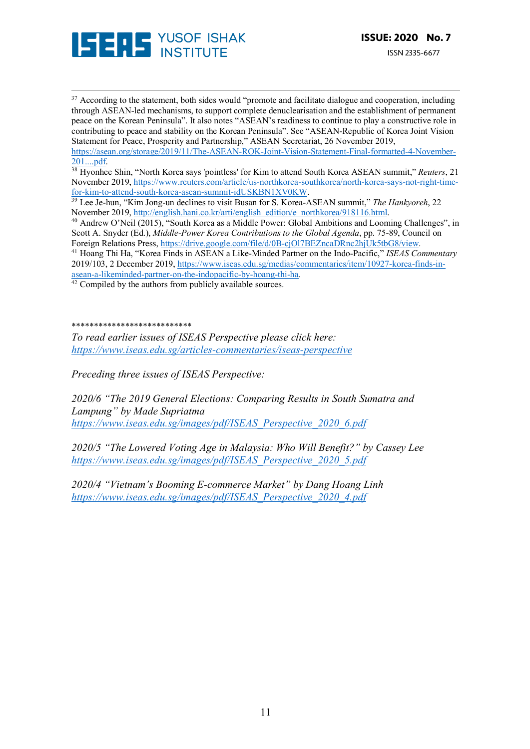

<sup>37</sup> According to the statement, both sides would "promote and facilitate dialogue and cooperation, including through ASEAN-led mechanisms, to support complete denuclearisation and the establishment of permanent peace on the Korean Peninsula". It also notes "ASEAN's readiness to continue to play a constructive role in contributing to peace and stability on the Korean Peninsula". See "ASEAN-Republic of Korea Joint Vision Statement for Peace, Prosperity and Partnership," ASEAN Secretariat, 26 November 2019, https://asean.org/storage/2019/11/The-ASEAN-ROK-Joint-Vision-Statement-Final-formatted-4-November-

<u> 1989 - Andrea San Andrew Maria (h. 1989).</u><br>1900 - Andrew Maria (h. 1980).

201....pdf. 38 Hyonhee Shin, "North Korea says 'pointless' for Kim to attend South Korea ASEAN summit," *Reuters*, 21 November 2019, https://www.reuters.com/article/us-northkorea-southkorea/north-korea-says-not-right-time-

for-kim-to-attend-south-korea-asean-summit-idUSKBN1XV0KW. 39 Lee Je-hun, "Kim Jong-un declines to visit Busan for S. Korea-ASEAN summit," *The Hankyoreh*, 22 November 2019, http://english.hani.co.kr/arti/english\_edition/e\_northkorea/918116.html.<br><sup>40</sup> Andrew O'Neil (2015), "South Korea as a Middle Power: Global Ambitions and Looming Challenges", in

Scott A. Snyder (Ed.), *Middle-Power Korea Contributions to the Global Agenda*, pp. 75-89, Council on Foreign Relations Press, https://drive.google.com/file/d/0B-cjOl7BEZncaDRnc2hjUk5tbG8/view.

<sup>41</sup> Hoang Thi Ha, "Korea Finds in ASEAN a Like-Minded Partner on the Indo-Pacific," *ISEAS Commentary* 2019/103, 2 December 2019, https://www.iseas.edu.sg/medias/commentaries/item/10927-korea-finds-inasean-a-likeminded-partner-on-the-indopacific-by-hoang-thi-ha.<br><sup>42</sup> Compiled by the authors from publicly available sources.

#### \*\*\*\*\*\*\*\*\*\*\*\*\*\*\*\*\*\*\*\*\*\*\*\*\*\*\*

*To read earlier issues of ISEAS Perspective please click here: https://www.iseas.edu.sg/articles-commentaries/iseas-perspective*

*Preceding three issues of ISEAS Perspective:*

*2020/6 "The 2019 General Elections: Comparing Results in South Sumatra and Lampung" by Made Supriatma https://www.iseas.edu.sg/images/pdf/ISEAS\_Perspective\_2020\_6.pdf*

*2020/5 "The Lowered Voting Age in Malaysia: Who Will Benefit?" by Cassey Lee https://www.iseas.edu.sg/images/pdf/ISEAS\_Perspective\_2020\_5.pdf*

*2020/4 "Vietnam's Booming E-commerce Market" by Dang Hoang Linh https://www.iseas.edu.sg/images/pdf/ISEAS\_Perspective\_2020\_4.pdf*